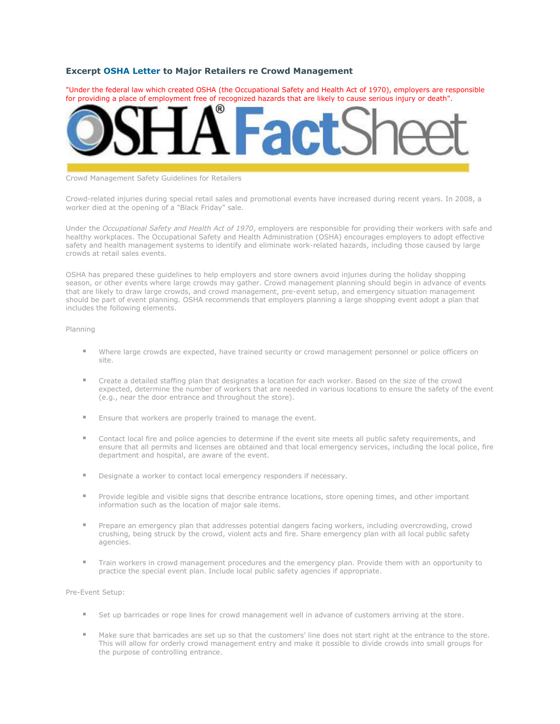## **Excerpt [OSHA Letter](http://www.stanchiondepot.com/blackfridayletter.pdf) to Major Retailers re Crowd Management**

"Under the federal law which created OSHA (the Occupational Safety and Health Act of 1970), employers are responsible for providing a place of employment free of recognized hazards that are likely to cause serious injury or death".



## Crowd Management Safety Guidelines for Retailers

Crowd-related injuries during special retail sales and promotional events have increased during recent years. In 2008, a worker died at the opening of a "Black Friday" sale.

Under the *Occupational Safety and Health Act of 1970*, employers are responsible for providing their workers with safe and healthy workplaces. The Occupational Safety and Health Administration (OSHA) encourages employers to adopt effective safety and health management systems to identify and eliminate work-related hazards, including those caused by large crowds at retail sales events.

OSHA has prepared these guidelines to help employers and store owners avoid injuries during the holiday shopping season, or other events where large crowds may gather. Crowd management planning should begin in advance of events that are likely to draw large crowds, and crowd management, pre-event setup, and emergency situation management should be part of event planning. OSHA recommends that employers planning a large shopping event adopt a plan that includes the following elements.

## Planning

- Where large crowds are expected, have trained security or crowd management personnel or police officers on site.
- Create a detailed staffing plan that designates a location for each worker. Based on the size of the crowd expected, determine the number of workers that are needed in various locations to ensure the safety of the event (e.g., near the door entrance and throughout the store).
- Ensure that workers are properly trained to manage the event.
- Contact local fire and police agencies to determine if the event site meets all public safety requirements, and ensure that all permits and licenses are obtained and that local emergency services, including the local police, fire department and hospital, are aware of the event.
- **Designate a worker to contact local emergency responders if necessary.**
- Provide legible and visible signs that describe entrance locations, store opening times, and other important information such as the location of major sale items.
- Prepare an emergency plan that addresses potential dangers facing workers, including overcrowding, crowd crushing, being struck by the crowd, violent acts and fire. Share emergency plan with all local public safety agencies.
- Train workers in crowd management procedures and the emergency plan. Provide them with an opportunity to practice the special event plan. Include local public safety agencies if appropriate.

Pre-Event Setup:

- Set up barricades or rope lines for crowd management well in advance of customers arriving at the store.
- Make sure that barricades are set up so that the customers' line does not start right at the entrance to the store. This will allow for orderly crowd management entry and make it possible to divide crowds into small groups for the purpose of controlling entrance.